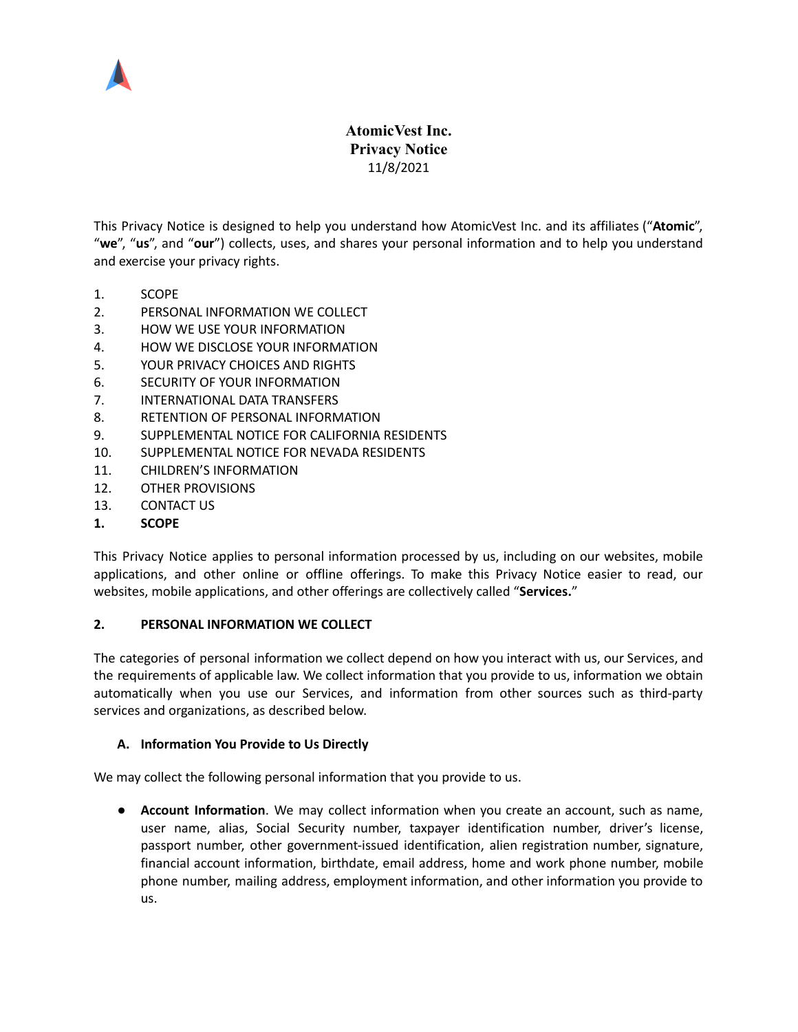

# **AtomicVest Inc. Privacy Notice** 11/8/2021

This Privacy Notice is designed to help you understand how AtomicVest Inc. and its affiliates ("**Atomic**", "**we**", "**us**", and "**our**") collects, uses, and shares your personal information and to help you understand and exercise your privacy rights.

- 1. [SCOPE](#page-0-0)
- 2. PERSONAL [INFORMATION](#page-0-1) WE COLLECT
- 3. HOW WE USE YOUR [INFORMATION](#page-3-0)
- 4. HOW WE DISCLOSE YOUR [INFORMATION](#page-4-0)
- 5. YOUR PRIVACY [CHOICES](#page-6-0) AND RIGHTS
- 6. SECURITY OF YOUR [INFORMATION](#page-7-0)
- 7. [INTERNATIONAL](#page-7-1) DATA TRANSFERS
- 8. RETENTION OF PERSONAL [INFORMATION](#page-7-2)
- 9. [SUPPLEMENTAL](#page-7-3) NOTICE FOR CALIFORNIA RESIDENTS
- 10. [SUPPLEMENTAL](#page-9-0) NOTICE FOR NEVADA RESIDENTS
- 11. CHILDREN'S [INFORMATION](#page-9-1)
- 12. OTHER [PROVISIONS](#page-9-2)
- 13. [CONTACT](#page-10-0) US
- <span id="page-0-0"></span>**1. SCOPE**

This Privacy Notice applies to personal information processed by us, including on our websites, mobile applications, and other online or offline offerings. To make this Privacy Notice easier to read, our websites, mobile applications, and other offerings are collectively called "**Services.**"

### <span id="page-0-1"></span>**2. PERSONAL INFORMATION WE COLLECT**

The categories of personal information we collect depend on how you interact with us, our Services, and the requirements of applicable law. We collect information that you provide to us, information we obtain automatically when you use our Services, and information from other sources such as third-party services and organizations, as described below.

### **A. Information You Provide to Us Directly**

We may collect the following personal information that you provide to us.

**● Account Information**. We may collect information when you create an account, such as name, user name, alias, Social Security number, taxpayer identification number, driver's license, passport number, other government-issued identification, alien registration number, signature, financial account information, birthdate, email address, home and work phone number, mobile phone number, mailing address, employment information, and other information you provide to us.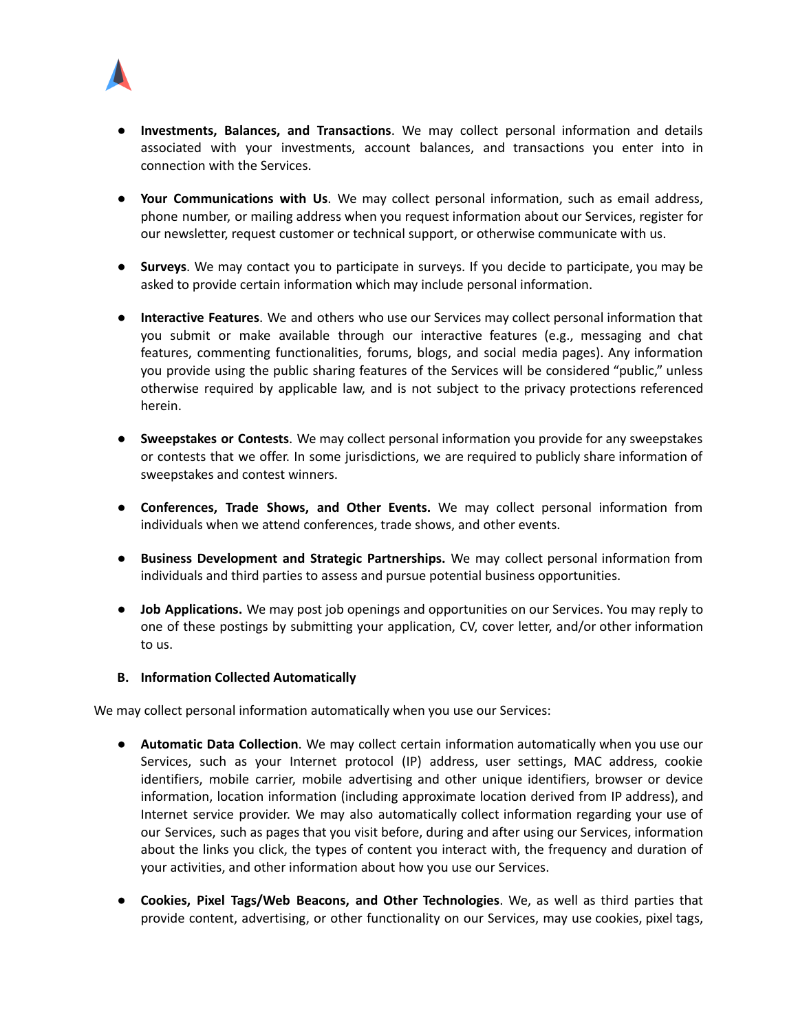

- **● Investments, Balances, and Transactions**. We may collect personal information and details associated with your investments, account balances, and transactions you enter into in connection with the Services.
- **● Your Communications with Us**. We may collect personal information, such as email address, phone number, or mailing address when you request information about our Services, register for our newsletter, request customer or technical support, or otherwise communicate with us.
- **● Surveys**. We may contact you to participate in surveys. If you decide to participate, you may be asked to provide certain information which may include personal information.
- **● Interactive Features**. We and others who use our Services may collect personal information that you submit or make available through our interactive features (e.g., messaging and chat features, commenting functionalities, forums, blogs, and social media pages). Any information you provide using the public sharing features of the Services will be considered "public," unless otherwise required by applicable law, and is not subject to the privacy protections referenced herein.
- **● Sweepstakes or Contests**. We may collect personal information you provide for any sweepstakes or contests that we offer. In some jurisdictions, we are required to publicly share information of sweepstakes and contest winners.
- **● Conferences, Trade Shows, and Other Events.** We may collect personal information from individuals when we attend conferences, trade shows, and other events.
- **● Business Development and Strategic Partnerships.** We may collect personal information from individuals and third parties to assess and pursue potential business opportunities.
- **Job Applications.** We may post job openings and opportunities on our Services. You may reply to one of these postings by submitting your application, CV, cover letter, and/or other information to us.

### **B. Information Collected Automatically**

We may collect personal information automatically when you use our Services:

- **Automatic Data Collection**. We may collect certain information automatically when you use our Services, such as your Internet protocol (IP) address, user settings, MAC address, cookie identifiers, mobile carrier, mobile advertising and other unique identifiers, browser or device information, location information (including approximate location derived from IP address), and Internet service provider. We may also automatically collect information regarding your use of our Services, such as pages that you visit before, during and after using our Services, information about the links you click, the types of content you interact with, the frequency and duration of your activities, and other information about how you use our Services.
- **Cookies, Pixel Tags/Web Beacons, and Other Technologies**. We, as well as third parties that provide content, advertising, or other functionality on our Services, may use cookies, pixel tags,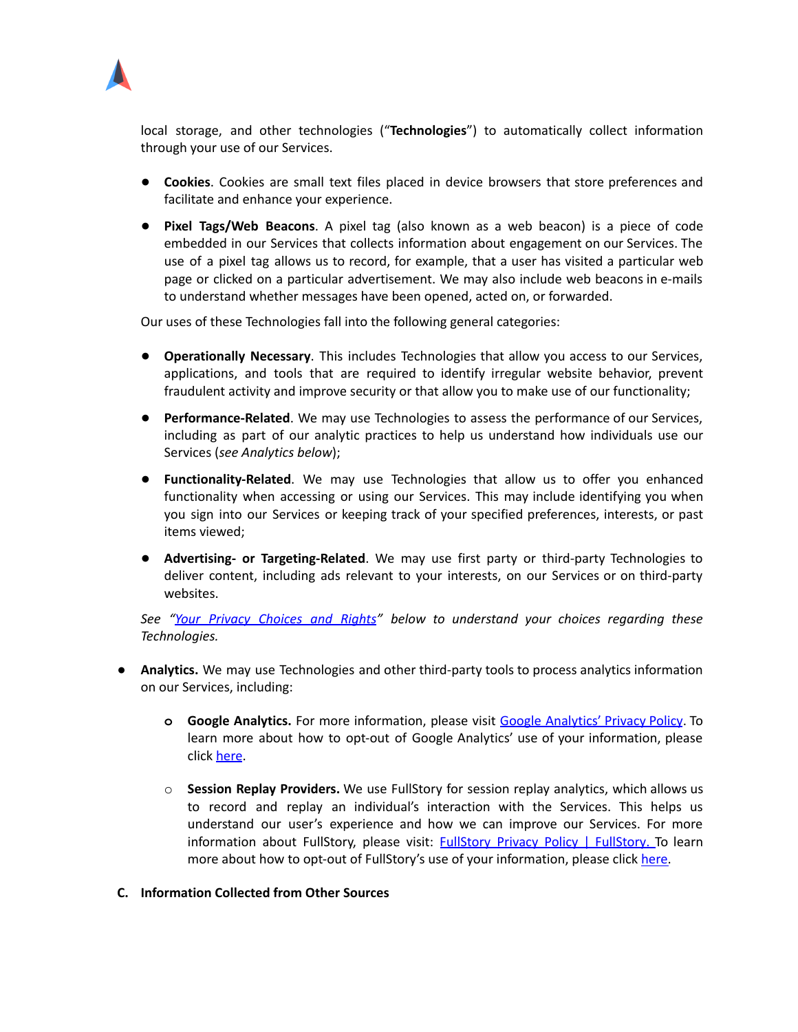

local storage, and other technologies ("**Technologies**") to automatically collect information through your use of our Services.

- **Cookies**. Cookies are small text files placed in device browsers that store preferences and facilitate and enhance your experience.
- **Pixel Tags/Web Beacons**. A pixel tag (also known as a web beacon) is a piece of code embedded in our Services that collects information about engagement on our Services. The use of a pixel tag allows us to record, for example, that a user has visited a particular web page or clicked on a particular advertisement. We may also include web beacons in e-mails to understand whether messages have been opened, acted on, or forwarded.

Our uses of these Technologies fall into the following general categories:

- **Operationally Necessary**. This includes Technologies that allow you access to our Services, applications, and tools that are required to identify irregular website behavior, prevent fraudulent activity and improve security or that allow you to make use of our functionality;
- **Performance-Related**. We may use Technologies to assess the performance of our Services, including as part of our analytic practices to help us understand how individuals use our Services (*see Analytics below*);
- **Functionality-Related**. We may use Technologies that allow us to offer you enhanced functionality when accessing or using our Services. This may include identifying you when you sign into our Services or keeping track of your specified preferences, interests, or past items viewed;
- *●* **Advertising- or Targeting-Related**. We may use first party or third-party Technologies to deliver content, including ads relevant to your interests, on our Services or on third-party websites.

*See "Your Privacy [Choices](#page-6-0) and Rights" below to understand your choices regarding these Technologies.*

- **● Analytics.** We may use Technologies and other third-party tools to process analytics information on our Services, including:
	- **o Google Analytics.** For more information, please visit Google [Analytics'](http://www.google.com/policies/privacy/partners/) Privacy Policy. To learn more about how to opt-out of Google Analytics' use of your information, please click [here](http://tools.google.com/dlpage/gaoptout).
	- o **Session Replay Providers.** We use FullStory for session replay analytics, which allows us to record and replay an individual's interaction with the Services. This helps us understand our user's experience and how we can improve our Services. For more information about FullStory, please visit: FullStory Privacy Policy | [FullStory.](https://www.fullstory.com/legal/privacy-policy) To learn more about how to opt-out of FullStory's use of your information, please click [here.](https://www.fullstory.com/optout/)

### **C. Information Collected from Other Sources**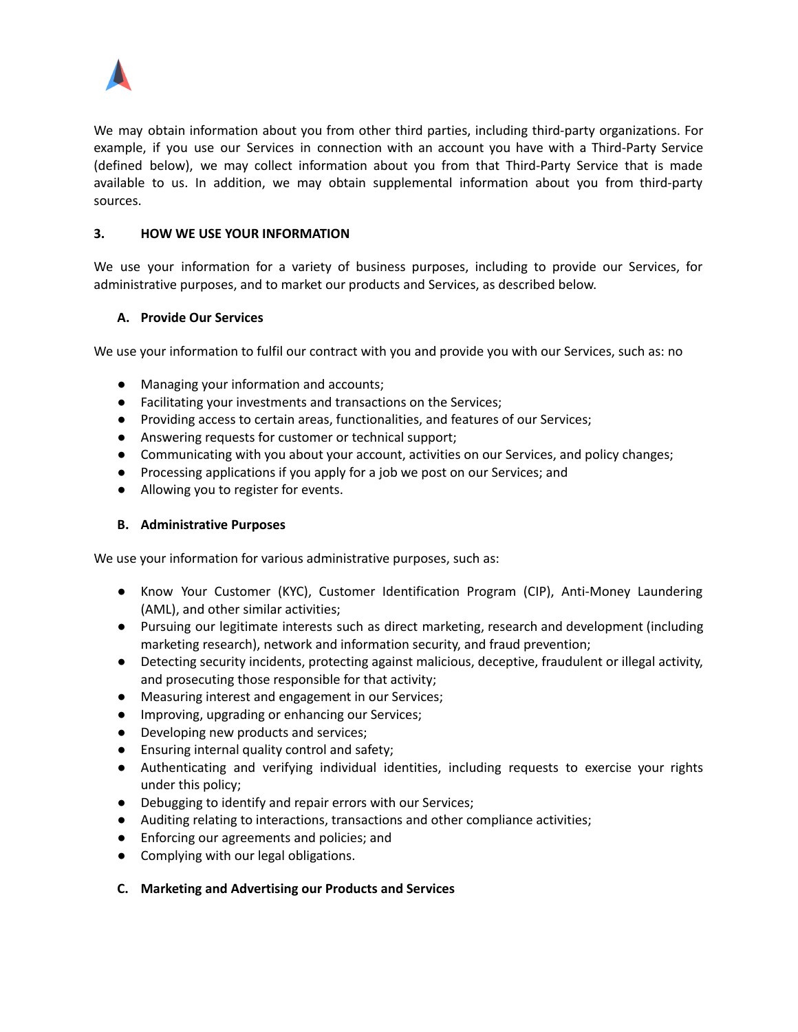

We may obtain information about you from other third parties, including third-party organizations. For example, if you use our Services in connection with an account you have with a Third-Party Service (defined below), we may collect information about you from that Third-Party Service that is made available to us. In addition, we may obtain supplemental information about you from third-party sources.

### <span id="page-3-0"></span>**3. HOW WE USE YOUR INFORMATION**

We use your information for a variety of business purposes, including to provide our Services, for administrative purposes, and to market our products and Services, as described below.

### **A. Provide Our Services**

We use your information to fulfil our contract with you and provide you with our Services, such as: no

- Managing your information and accounts;
- Facilitating your investments and transactions on the Services;
- Providing access to certain areas, functionalities, and features of our Services;
- Answering requests for customer or technical support;
- Communicating with you about your account, activities on our Services, and policy changes;
- Processing applications if you apply for a job we post on our Services; and
- Allowing you to register for events.

### **B. Administrative Purposes**

We use your information for various administrative purposes, such as:

- Know Your Customer (KYC), Customer Identification Program (CIP), Anti-Money Laundering (AML), and other similar activities;
- Pursuing our legitimate interests such as direct marketing, research and development (including marketing research), network and information security, and fraud prevention;
- Detecting security incidents, protecting against malicious, deceptive, fraudulent or illegal activity, and prosecuting those responsible for that activity;
- Measuring interest and engagement in our Services;
- Improving, upgrading or enhancing our Services;
- Developing new products and services;
- Ensuring internal quality control and safety;
- Authenticating and verifying individual identities, including requests to exercise your rights under this policy;
- Debugging to identify and repair errors with our Services;
- Auditing relating to interactions, transactions and other compliance activities;
- Enforcing our agreements and policies; and
- Complying with our legal obligations.
- **C. Marketing and Advertising our Products and Services**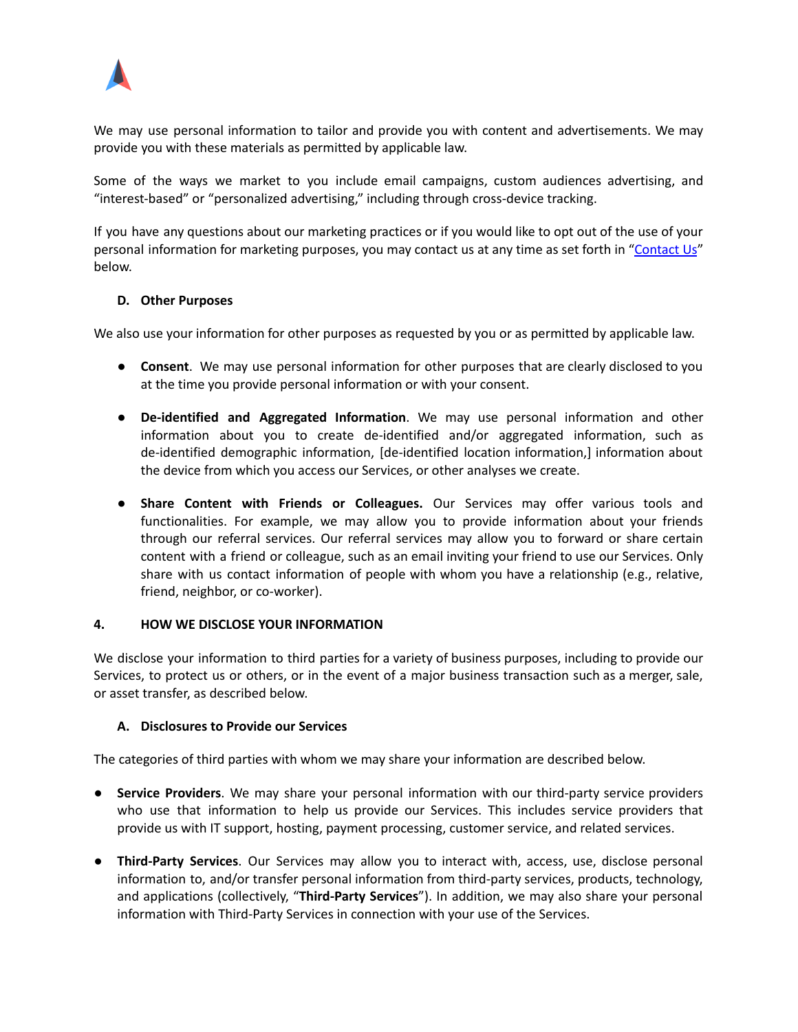

We may use personal information to tailor and provide you with content and advertisements. We may provide you with these materials as permitted by applicable law.

Some of the ways we market to you include email campaigns, custom audiences advertising, and "interest-based" or "personalized advertising," including through cross-device tracking.

If you have any questions about our marketing practices or if you would like to opt out of the use of your personal information for marketing purposes, you may contact us at any time as set forth in ["Contact](#page-10-0) Us" below.

### **D. Other Purposes**

We also use your information for other purposes as requested by you or as permitted by applicable law.

- **Consent**. We may use personal information for other purposes that are clearly disclosed to you at the time you provide personal information or with your consent.
- **De-identified and Aggregated Information**. We may use personal information and other information about you to create de-identified and/or aggregated information, such as de-identified demographic information, [de-identified location information,] information about the device from which you access our Services, or other analyses we create.
- **Share Content with Friends or Colleagues.** Our Services may offer various tools and functionalities. For example, we may allow you to provide information about your friends through our referral services. Our referral services may allow you to forward or share certain content with a friend or colleague, such as an email inviting your friend to use our Services. Only share with us contact information of people with whom you have a relationship (e.g., relative, friend, neighbor, or co-worker).

#### <span id="page-4-0"></span>**4. HOW WE DISCLOSE YOUR INFORMATION**

We disclose your information to third parties for a variety of business purposes, including to provide our Services, to protect us or others, or in the event of a major business transaction such as a merger, sale, or asset transfer, as described below.

### **A. Disclosures to Provide our Services**

The categories of third parties with whom we may share your information are described below.

- **Service Providers**. We may share your personal information with our third-party service providers who use that information to help us provide our Services. This includes service providers that provide us with IT support, hosting, payment processing, customer service, and related services.
- **Third-Party Services**. Our Services may allow you to interact with, access, use, disclose personal information to, and/or transfer personal information from third-party services, products, technology, and applications (collectively, "**Third-Party Services**"). In addition, we may also share your personal information with Third-Party Services in connection with your use of the Services.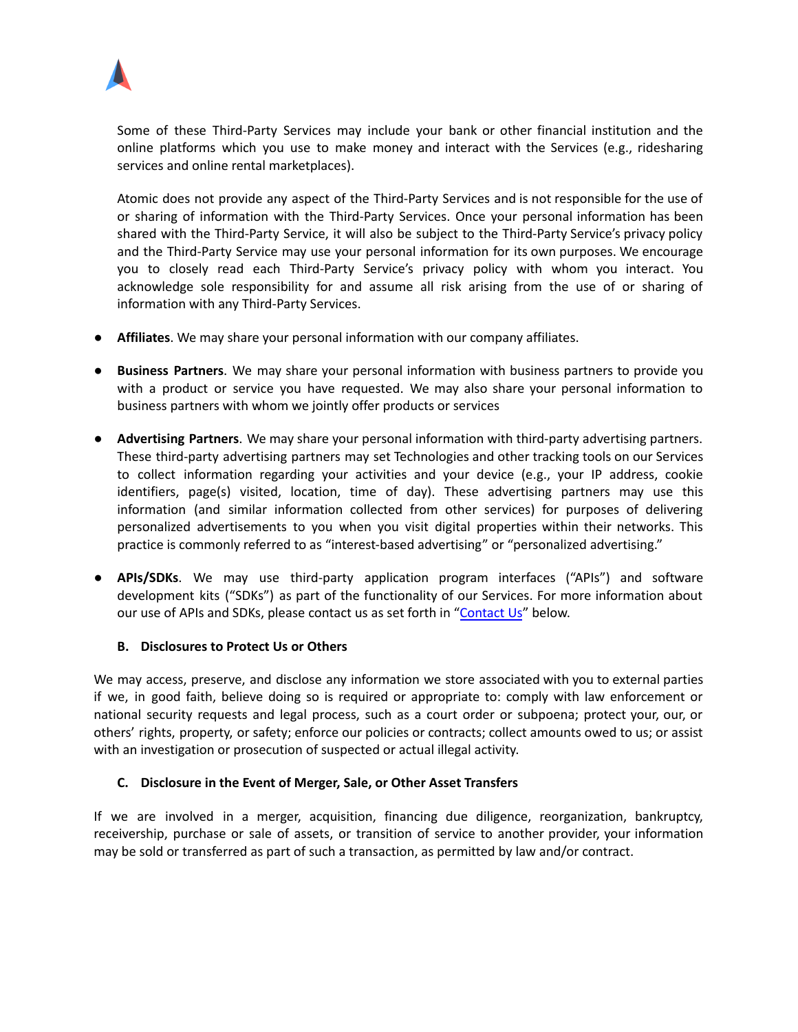

Some of these Third-Party Services may include your bank or other financial institution and the online platforms which you use to make money and interact with the Services (e.g., ridesharing services and online rental marketplaces).

Atomic does not provide any aspect of the Third-Party Services and is not responsible for the use of or sharing of information with the Third-Party Services. Once your personal information has been shared with the Third-Party Service, it will also be subject to the Third-Party Service's privacy policy and the Third-Party Service may use your personal information for its own purposes. We encourage you to closely read each Third-Party Service's privacy policy with whom you interact. You acknowledge sole responsibility for and assume all risk arising from the use of or sharing of information with any Third-Party Services.

- **Affiliates**. We may share your personal information with our company affiliates.
- **Business Partners**. We may share your personal information with business partners to provide you with a product or service you have requested. We may also share your personal information to business partners with whom we jointly offer products or services
- **Advertising Partners**. We may share your personal information with third-party advertising partners. These third-party advertising partners may set Technologies and other tracking tools on our Services to collect information regarding your activities and your device (e.g., your IP address, cookie identifiers, page(s) visited, location, time of day). These advertising partners may use this information (and similar information collected from other services) for purposes of delivering personalized advertisements to you when you visit digital properties within their networks. This practice is commonly referred to as "interest-based advertising" or "personalized advertising."
- **APIs/SDKs**. We may use third-party application program interfaces ("APIs") and software development kits ("SDKs") as part of the functionality of our Services. For more information about our use of APIs and SDKs, please contact us as set forth in "[Contact](#page-10-0) Us" below.

### **B. Disclosures to Protect Us or Others**

We may access, preserve, and disclose any information we store associated with you to external parties if we, in good faith, believe doing so is required or appropriate to: comply with law enforcement or national security requests and legal process, such as a court order or subpoena; protect your, our, or others' rights, property, or safety; enforce our policies or contracts; collect amounts owed to us; or assist with an investigation or prosecution of suspected or actual illegal activity.

#### **C. Disclosure in the Event of Merger, Sale, or Other Asset Transfers**

If we are involved in a merger, acquisition, financing due diligence, reorganization, bankruptcy, receivership, purchase or sale of assets, or transition of service to another provider, your information may be sold or transferred as part of such a transaction, as permitted by law and/or contract.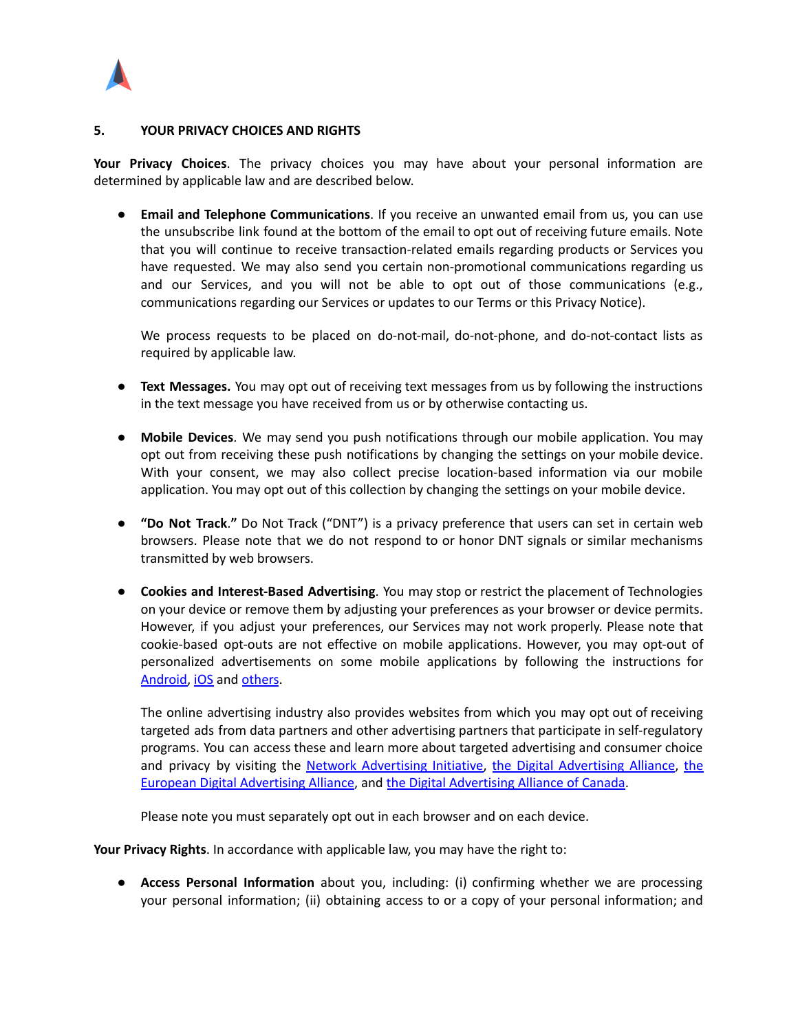

#### <span id="page-6-0"></span>**5. YOUR PRIVACY CHOICES AND RIGHTS**

**Your Privacy Choices**. The privacy choices you may have about your personal information are determined by applicable law and are described below.

● **Email and Telephone Communications**. If you receive an unwanted email from us, you can use the unsubscribe link found at the bottom of the email to opt out of receiving future emails. Note that you will continue to receive transaction-related emails regarding products or Services you have requested. We may also send you certain non-promotional communications regarding us and our Services, and you will not be able to opt out of those communications (e.g., communications regarding our Services or updates to our Terms or this Privacy Notice).

We process requests to be placed on do-not-mail, do-not-phone, and do-not-contact lists as required by applicable law.

- **● Text Messages.** You may opt out of receiving text messages from us by following the instructions in the text message you have received from us or by otherwise contacting us.
- **Mobile Devices**. We may send you push notifications through our mobile application. You may opt out from receiving these push notifications by changing the settings on your mobile device. With your consent, we may also collect precise location-based information via our mobile application. You may opt out of this collection by changing the settings on your mobile device.
- **"Do Not Track**.**"** Do Not Track ("DNT") is a privacy preference that users can set in certain web browsers. Please note that we do not respond to or honor DNT signals or similar mechanisms transmitted by web browsers.
- **Cookies and Interest-Based Advertising**. You may stop or restrict the placement of Technologies on your device or remove them by adjusting your preferences as your browser or device permits. However, if you adjust your preferences, our Services may not work properly. Please note that cookie-based opt-outs are not effective on mobile applications. However, you may opt-out of personalized advertisements on some mobile applications by following the instructions for [Android,](https://support.google.com/googleplay/android-developer/answer/6048248?hl=en) [iOS](https://support.apple.com/en-us/HT202074) and [others](https://www.networkadvertising.org/mobile-choice/).

The online advertising industry also provides websites from which you may opt out of receiving targeted ads from data partners and other advertising partners that participate in self-regulatory programs. You can access these and learn more about targeted advertising and consumer choice and privacy by visiting the Network [Advertising](http://www.aboutads.info/choices/) Initiative, [the](https://www.youronlinechoices.eu/) Digital Advertising Alliance, the European Digital [Advertising](https://www.youronlinechoices.eu/) Alliance, and the Digital [Advertising](https://youradchoices.ca/choices/) Alliance of Canada.

Please note you must separately opt out in each browser and on each device.

**Your Privacy Rights**. In accordance with applicable law, you may have the right to:

● **Access Personal Information** about you, including: (i) confirming whether we are processing your personal information; (ii) obtaining access to or a copy of your personal information; and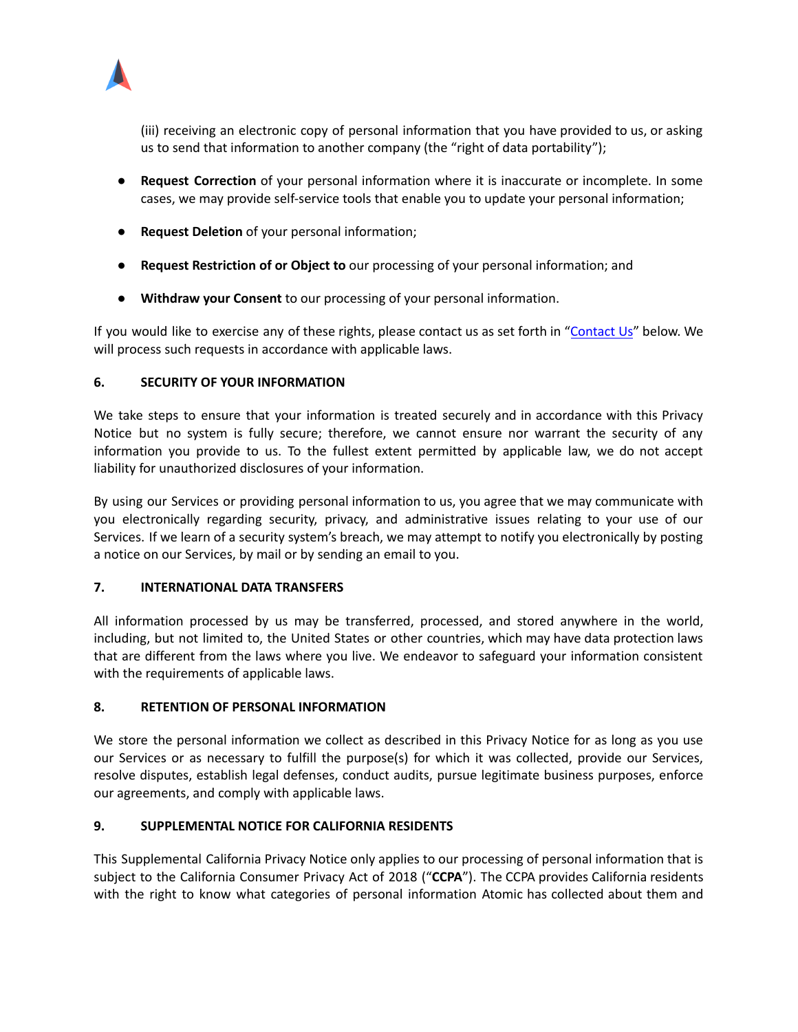

(iii) receiving an electronic copy of personal information that you have provided to us, or asking us to send that information to another company (the "right of data portability");

- **Request Correction** of your personal information where it is inaccurate or incomplete. In some cases, we may provide self-service tools that enable you to update your personal information;
- **Request Deletion** of your personal information;
- **Request Restriction of or Object to** our processing of your personal information; and
- **Withdraw your Consent** to our processing of your personal information.

If you would like to exercise any of these rights, please contact us as set forth in "[Contact](#page-10-0) Us" below. We will process such requests in accordance with applicable laws.

### <span id="page-7-0"></span>**6. SECURITY OF YOUR INFORMATION**

We take steps to ensure that your information is treated securely and in accordance with this Privacy Notice but no system is fully secure; therefore, we cannot ensure nor warrant the security of any information you provide to us. To the fullest extent permitted by applicable law, we do not accept liability for unauthorized disclosures of your information.

By using our Services or providing personal information to us, you agree that we may communicate with you electronically regarding security, privacy, and administrative issues relating to your use of our Services. If we learn of a security system's breach, we may attempt to notify you electronically by posting a notice on our Services, by mail or by sending an email to you.

### <span id="page-7-1"></span>**7. INTERNATIONAL DATA TRANSFERS**

All information processed by us may be transferred, processed, and stored anywhere in the world, including, but not limited to, the United States or other countries, which may have data protection laws that are different from the laws where you live. We endeavor to safeguard your information consistent with the requirements of applicable laws.

# <span id="page-7-2"></span>**8. RETENTION OF PERSONAL INFORMATION**

We store the personal information we collect as described in this Privacy Notice for as long as you use our Services or as necessary to fulfill the purpose(s) for which it was collected, provide our Services, resolve disputes, establish legal defenses, conduct audits, pursue legitimate business purposes, enforce our agreements, and comply with applicable laws.

# <span id="page-7-3"></span>**9. SUPPLEMENTAL NOTICE FOR CALIFORNIA RESIDENTS**

This Supplemental California Privacy Notice only applies to our processing of personal information that is subject to the California Consumer Privacy Act of 2018 ("**CCPA**"). The CCPA provides California residents with the right to know what categories of personal information Atomic has collected about them and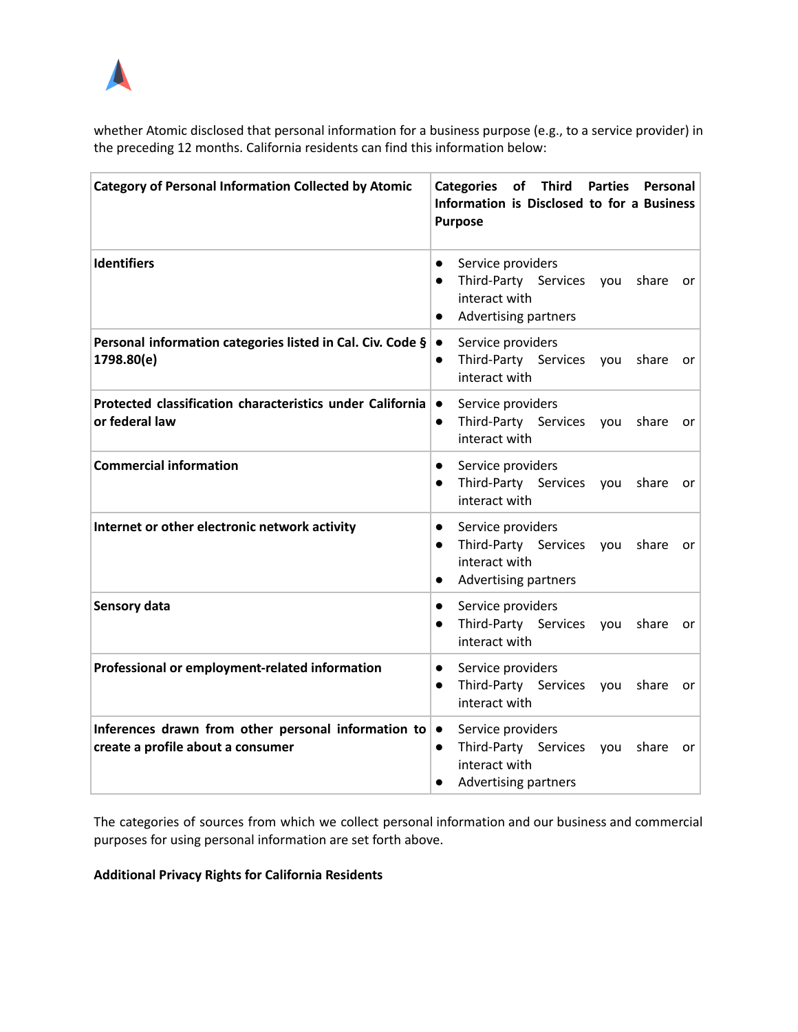

whether Atomic disclosed that personal information for a business purpose (e.g., to a service provider) in the preceding 12 months. California residents can find this information below:

| <b>Category of Personal Information Collected by Atomic</b>                              | Categories of Third<br><b>Parties</b><br><b>Personal</b><br>Information is Disclosed to for a Business<br><b>Purpose</b>                                |
|------------------------------------------------------------------------------------------|---------------------------------------------------------------------------------------------------------------------------------------------------------|
| <b>Identifiers</b>                                                                       | Service providers<br>$\bullet$<br>Third-Party Services<br>share<br>you<br>$\bullet$<br>or.<br>interact with<br><b>Advertising partners</b><br>$\bullet$ |
| Personal information categories listed in Cal. Civ. Code §<br>1798.80(e)                 | Service providers<br>$\bullet$<br>Third-Party Services<br>share<br>vou<br>$\bullet$<br>or<br>interact with                                              |
| Protected classification characteristics under California<br>or federal law              | Service providers<br>$\bullet$<br>Third-Party Services<br>share<br>you<br>$\bullet$<br>or<br>interact with                                              |
| <b>Commercial information</b>                                                            | Service providers<br>$\bullet$<br>Third-Party Services<br>share<br>vou<br>$\bullet$<br>or<br>interact with                                              |
| Internet or other electronic network activity                                            | Service providers<br>$\bullet$<br>Third-Party Services<br>share<br>you<br>$\bullet$<br>or<br>interact with<br>Advertising partners<br>$\bullet$         |
| Sensory data                                                                             | Service providers<br>$\bullet$<br>Third-Party Services<br>share<br>you<br>$\bullet$<br>or<br>interact with                                              |
| Professional or employment-related information                                           | Service providers<br>$\bullet$<br>Third-Party Services<br>share<br>$\bullet$<br>you<br>or<br>interact with                                              |
| Inferences drawn from other personal information to<br>create a profile about a consumer | Service providers<br>$\bullet$<br>Third-Party Services<br>share<br>you<br>$\bullet$<br>or<br>interact with<br><b>Advertising partners</b><br>$\bullet$  |

The categories of sources from which we collect personal information and our business and commercial purposes for using personal information are set forth above.

**Additional Privacy Rights for California Residents**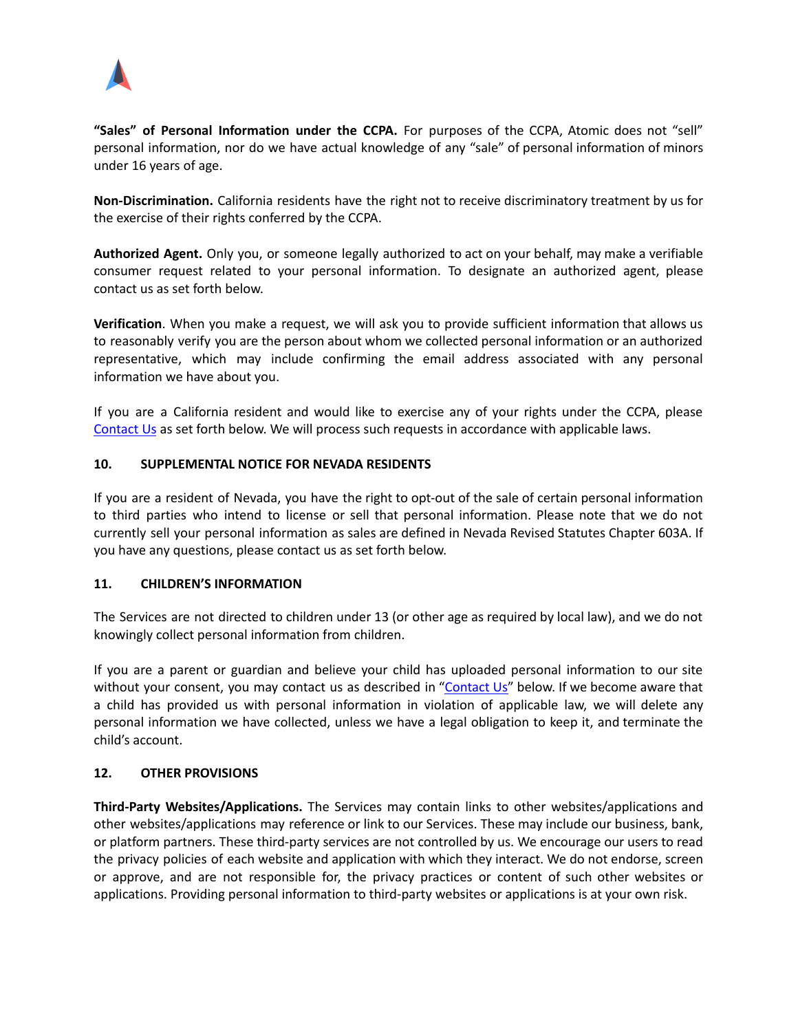

**"Sales" of Personal Information under the CCPA.** For purposes of the CCPA, Atomic does not "sell" personal information, nor do we have actual knowledge of any "sale" of personal information of minors under 16 years of age.

**Non-Discrimination.** California residents have the right not to receive discriminatory treatment by us for the exercise of their rights conferred by the CCPA.

**Authorized Agent.** Only you, or someone legally authorized to act on your behalf, may make a verifiable consumer request related to your personal information. To designate an authorized agent, please contact us as set forth below.

**Verification**. When you make a request, we will ask you to provide sufficient information that allows us to reasonably verify you are the person about whom we collected personal information or an authorized representative, which may include confirming the email address associated with any personal information we have about you.

If you are a California resident and would like to exercise any of your rights under the CCPA, please [Contact](#page-10-0) Us as set forth below. We will process such requests in accordance with applicable laws.

### <span id="page-9-0"></span>**10. SUPPLEMENTAL NOTICE FOR NEVADA RESIDENTS**

If you are a resident of Nevada, you have the right to opt-out of the sale of certain personal information to third parties who intend to license or sell that personal information. Please note that we do not currently sell your personal information as sales are defined in Nevada Revised Statutes Chapter 603A. If you have any questions, please contact us as set forth below.

#### <span id="page-9-1"></span>**11. CHILDREN'S INFORMATION**

The Services are not directed to children under 13 (or other age as required by local law), and we do not knowingly collect personal information from children.

If you are a parent or guardian and believe your child has uploaded personal information to our site without your consent, you may contact us as described in ["Contact](#page-10-0) Us" below. If we become aware that a child has provided us with personal information in violation of applicable law, we will delete any personal information we have collected, unless we have a legal obligation to keep it, and terminate the child's account.

### <span id="page-9-2"></span>**12. OTHER PROVISIONS**

**Third-Party Websites/Applications.** The Services may contain links to other websites/applications and other websites/applications may reference or link to our Services. These may include our business, bank, or platform partners. These third-party services are not controlled by us. We encourage our users to read the privacy policies of each website and application with which they interact. We do not endorse, screen or approve, and are not responsible for, the privacy practices or content of such other websites or applications. Providing personal information to third-party websites or applications is at your own risk.